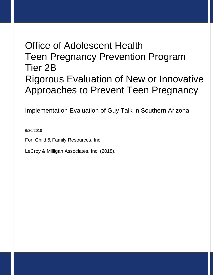# Office of Adolescent Health Teen Pregnancy Prevention Program Tier 2B Rigorous Evaluation of New or Innovative Approaches to Prevent Teen Pregnancy

Implementation Evaluation of Guy Talk in Southern Arizona

6/30/2018

For: Child & Family Resources, Inc.

LeCroy & Milligan Associates, Inc. (2018).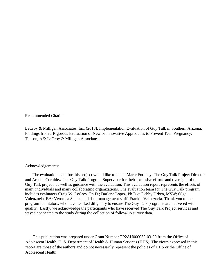Recommended Citation:

LeCroy & Milligan Associates, Inc. (2018). Implementation Evaluation of Guy Talk in Southern Arizona: Findings from a Rigorous Evaluation of New or Innovative Approaches to Prevent Teen Pregnancy. Tucson, AZ: LeCroy & Milligan Associates.

#### Acknowledgements:

The evaluation team for this project would like to thank Marie Fordney, The Guy Talk Project Director and Arcelia Cornidez, The Guy Talk Program Supervisor for their extensive efforts and oversight of the Guy Talk project, as well as guidance with the evaluation. This evaluation report represents the efforts of many individuals and many collaborating organizations. The evaluation team for The Guy Talk program includes evaluators Craig W. LeCroy, Ph.D.; Darlene Lopez, Ph.D.c; Debby Urken, MSW; Olga Valenzuela, BA; Veronica Salaiz; and data management staff, Frankie Valenzuela. Thank you to the program facilitators, who have worked diligently to ensure The Guy Talk programs are delivered with quality. Lastly, we acknowledge the participants who have received The Guy Talk Project services and stayed connected to the study during the collection of follow-up survey data.

 This publication was prepared under Grant Number TP2AH000032-03-00 from the Office of Adolescent Health, U. S. Department of Health & Human Services (HHS). The views expressed in this report are those of the authors and do not necessarily represent the policies of HHS or the Office of Adolescent Health.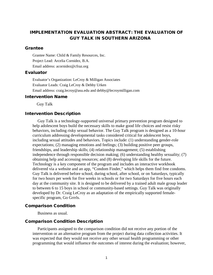# IMPLEMENTATION EVALUATION ABSTRACT: THE EVALUATION OF GUY TALK IN SOUTHERN ARIZONA

## Grantee

Grantee Name: Child & Family Resources, Inc. Project Lead: Arcelia Cornidez, B.A. Email address: acornidez@cfraz.org

#### Evaluator

Evaluator's Organization: LeCroy & Milligan Associates Evaluator Leads: Craig LeCroy & Debby Urken Email address: craig.lecroy@asu.edu and debby@lecroymilligan.com

#### Intervention Name

Guy Talk

#### Intervention Description

Guy Talk is a technology-supported universal primary prevention program designed to help adolescent boys build the necessary skills to make good life choices and resist risky behaviors, including risky sexual behavior. The Guy Talk program is designed as a 10-hour curriculum addressing developmental tasks considered critical for adolescent boys, including sexual attitudes and behaviors. Topics include: (1) understanding gender-role expectations; (2) managing emotions and feelings; (3) building positive peer groups, friendships, and leadership skills; (4) relationship management; (5) establishing independence through responsible decision making; (6) understanding healthy sexuality; (7) obtaining help and accessing resources; and (8) developing life skills for the future. Technology is a key component of the program and includes an interactive workbook delivered via a website and an app, "Condom Finder," which helps them find free condoms. Guy Talk is delivered before school, during school, after school, or on Saturdays, typically for two hours per week for five weeks in schools or for two Saturdays for five hours each day at the community site. It is designed to be delivered by a trained adult male group leader to between 6 to 15 boys in school or community-based settings. Guy Talk was originally developed by Dr. Craig LeCroy as an adaptation of the empirically supported femalespecific program, Go Grrrls.

#### Comparison Condition

Business as usual.

## Comparison Condition Description

Participants assigned to the comparison condition did not receive any portion of the intervention or an alternative program from the project during data collection activities. It was expected that they would not receive any other sexual health programming or other programming that would influence the outcomes of interest during the evaluation; however,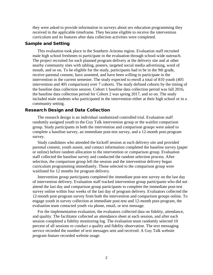they were asked to provide information in surveys about sex education programming they received in the applicable timeframe. They became eligible to receive the intervention curriculum and its features after data collection activities were completed.

## Sample and Setting

This evaluation took place in the Southern Arizona region. Evaluation staff recruited male high school freshmen to participate in the evaluation through school-wide outreach. The project recruited for each planned program delivery at the delivery site and at other nearby community sites with tabling, posters, targeted social media advertising, word of mouth, and so on. To be eligible for the study, participants had to be in the 9th grade, receive parental consent, have assented, and have been willing to participate in the intervention in the current semester. The study expected to enroll a total of 810 youth (405 intervention and 405 comparison) over 7 cohorts. The study defined cohorts by the timing of the baseline data collection session. Cohort 1 baseline data collection period was fall 2016, the baseline data collection period for Cohort 2 was spring 2017, and so on. The study included male students who participated in the intervention either at their high school or in a community setting.

#### Research Design and Data Collection

The research design is an individual randomized controlled trial. Evaluation staff randomly assigned youth to the Guy Talk intervention group or the waitlist comparison group. Study participants in both the intervention and comparison groups were asked to complete a baseline survey, an immediate post-test survey, and a 12-month post-program survey.

Study candidates who attended the kickoff session at each delivery site and provided parental consent, youth assent, and contact information completed the baseline survey (paper or online) before random allocation to the intervention or comparison group. Evaluation staff collected the baseline survey and conducted the random selection process. After selection, the comparison group left the session and the intervention delivery began curriculum programming immediately. Those selected to the comparison group were waitlisted for 12 months for program delivery.

Intervention group participants completed the immediate post-test survey on the last day of intervention delivery. Evaluation staff tracked intervention group participants who did not attend the last day and comparison group participants to complete the immediate post-test survey online within four weeks of the last day of program delivery. Evaluators collected the 12-month post-program survey from both the intervention and comparison groups online. To engage youth in survey collection at immediate post-test and 12-month post-program, the evaluation team contacted youth via phone, email, or text message.

For the implementation evaluation, the evaluators collected data on fidelity, attendance, and quality. The facilitator collected an attendance sheet at each session, and after each session completed a fidelity monitoring log. The evaluation team randomly selected 10 percent of all sessions to conduct a quality and fidelity observation. The text messaging service recorded the number of text messages sent and received. A Guy Talk website program feature recorded website usage.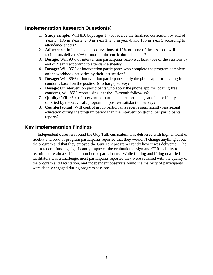# Implementation Research Question(s)

- 1. **Study sample:** Will 810 boys ages 14-16 receive the finalized curriculum by end of Year 5: 135 in Year 2, 270 in Year 3, 270 in year 4, and 135 in Year 5 according to attendance sheets?
- 2. **Adherence:** In independent observations of 10% or more of the sessions, will facilitators deliver 80% or more of the curriculum elements?
- 3. **Dosage:** Will 90% of intervention participants receive at least 75% of the sessions by end of Year 4 according to attendance sheets?
- 4. **Dosage:** Will 85% of intervention participants who complete the program complete online workbook activities by their last session?
- 5. **Dosage:** Will 85% of intervention participants apply the phone app for locating free condoms based on the posttest (discharge) survey?
- 6. **Dosage:** Of intervention participants who apply the phone app for locating free condoms, will 85% report using it at the 12-month follow-up?
- 7. **Quality:** Will 85% of intervention participants report being satisfied or highly satisfied by the Guy Talk program on posttest satisfaction survey?
- 8. **Counterfactual:** Will control group participants receive significantly less sexual education during the program period than the intervention group, per participants' reports?

## Key Implementation Findings

Independent observers found the Guy Talk curriculum was delivered with high amount of fidelity and 56% of program participants reported that they wouldn't change anything about the program and that they enjoyed the Guy Talk program exactly how it was delivered. The cut in federal funding significantly impacted the evaluation design and CFR's ability to recruit and retain a sufficient number of participants. While finding and hiring qualified facilitators was a challenge, most participants reported they were satisfied with the quality of the program and facilitation, and independent observers found the majority of participants were deeply engaged during program sessions.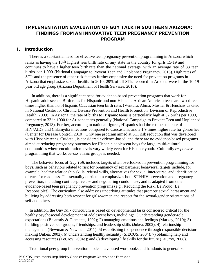# IMPLEMENTATION EVALUATION OF GUY TALK IN SOUTHERN ARIZONA: FINDINGS FROM AN INNOVATIVE TEEN PREGNANCY PREVENTION PROGRAM

## I. Introduction

There is a substantial need for effective teen pregnancy prevention programming in Arizona which ranks as having the 10<sup>th</sup> highest teen birth rate of any state in the country for girls 15-19 and continues to have a higher teen birth rate than the national average, with an average rate of 33 teen births per 1,000 (National Campaign to Prevent Teen and Unplanned Pregnancy, 2013). High rates of STIs and the presence of other risk factors further emphasize the need for prevention programs in Arizona that emphasize sexual health. In 2010, 29% of all STIs reported in Arizona were in the 10-19 year old age group (Arizona Department of Health Services, 2010).

In addition, there is a significant need for evidence-based prevention programs that work for Hispanic adolescents. Birth rates for Hispanic and non-Hispanic African American teens are two-three times higher than non-Hispanic Caucasian teen birth rates (Ventura, Abma, Mosher & Henshaw as cited in National Center for Chronic Disease Prevention and Health Promotion, Division of Reproductive Health, 2009). In Arizona, the rate of births to Hispanic teens is particularly high at 52 births per 1000, compared to 33 in 1000 for Arizona teens generally (National Campaign to Prevent Teen and Unplanned Pregnancy, 2013). Further, according to national figures, Hispanics had three times the rate of HIV/AIDS and Chlamydia infections compared to Caucasians, and a 1.9 times higher rate for gonorrhea (Center for Disease Control, 2010). Only one program aimed at STI risk reduction that was developed with Hispanic teens, Cuídate!, is considered evidence-based, and there are no evidence-based programs aimed at reducing pregnancy outcomes for Hispanic adolescent boys for large, multi-cultural communities where enculturation levels vary widely even for Hispanic youth. Culturally *responsive* programming that works *across* ethnic groups is needed.

The behavior focus of *Guy Talk* includes targets often overlooked in prevention programming for boys, such as behaviors related to risk for pregnancy of sex partners; behavioral targets include, for example, healthy relationship skills, refusal skills, alternatives for sexual intercourse, and identification of cues for readiness. The sexuality curriculum emphasizes both STI/HIV prevention and pregnancy prevention, including contraceptive use and negotiating condom use, and is adapted from other evidence-based teen pregnancy prevention programs (e.g., Reducing the Risk; Be Proud! Be Responsible!). The curriculum also addresses underlying attitudes that promote sexual harassment and bullying by addressing both respect for girls/women and respect for the sexual/gender orientations of self and others.

In addition, the *Guy Talk* curriculum is based on developmental tasks considered critical for the healthy psychosocial development of adolescent boys, including: 1) understanding gender-role expectations (Belansdy & Clements, 1992); 2) managing emotions and feelings (Markey, 2010); 3) building positive peer groups, friendships, and leadership skills (Jukea, 2002); 4) relationship management (Newman & Newman, 2011); 5) establishing independence through responsible decisionmaking (Jukea, 2002); 6) understanding healthy sexuality (SIECUS, 2004); 7) obtaining help and accessing resources (LeCroy, 2004a); and 8) developing life skills for the future (LeCroy, 2008).

Traditional peer group intervention models have used workbooks and handouts to generalize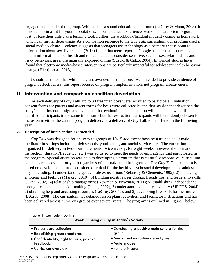engagement outside of the group. While this is a sound educational approach (LeCroy & Mann, 2008), it is not an optimal fit for youth populations. In our practical experience, workbooks are often forgotten, lost, or lose their utility as a learning tool. Further, the workbook/handout modality connotes homework which can further deter usage. As a companion resource to the *Guy Talk* curriculum, our program used a social media website. Evidence suggests that teenagers use technology as a primary access point to information about sex. Evers et al. (2013) found that teens reported Google as their main source to obtain information about health and topics that teens consider sensitive, such as sex, relationships and risky behaviors, are more naturally explored online (Suzuki & Calzo, 2004). Empirical studies have found that electronic media–based interventions are particularly impactful for adolescent health behavior change (Hieftje et al, 2013).

It should be noted, that while the grant awarded for this project was intended to provide evidence of program effectiveness, this report focuses on program implementation, not program effectiveness.

# II. Intervention and comparison condition description

For each delivery of Guy Talk, up to 30 freshman boys were recruited to participate. Evaluation consent forms for parents and assent forms for boys were collected by the first session that described the study's experimental design and explained that evaluation data collection will take place with all qualified participants in the same time frame but that evaluation participants will be randomly chosen for inclusion in either the current program delivery or a delivery of Guy Talk to be offered in the following year.

## **A. Description of intervention as intended**

*Guy Talk* was designed for delivery to groups of 10-15 adolescent boys by a trained adult male facilitator in settings including high schools, youth clubs, and social service sites. The curriculum is organized for delivery in two-hour increments, twice weekly, for eight weeks, however the format of instruction (duration/frequency, etc.) was adjusted to meet the needs of each agency that participated in the program. Special attention was paid to developing a program that is culturally responsive; curriculum contents are accessible for youth regardless of cultural/ racial background. The *Guy Talk* curriculum is based on developmental tasks considered critical for the healthy psychosocial development of adolescent boys, including: 1) understanding gender-role expectations (Belansdy & Clements, 1992); 2) managing emotions and feelings (Markey, 2010); 3) building positive peer groups, friendships, and leadership skills (Jukea, 2002); 4) relationship management (Newman & Newman, 2011); 5) establishing independence through responsible decision-making (Jukea, 2002); 6) understanding healthy sexuality (SIECUS, 2004); 7) obtaining help and accessing resources (LeCroy, 2004a); and 8) developing life skills for the future (LeCroy, 2008). The curriculum has detailed lesson plans, activities, and facilitator instructions and has been delivered across numerous groups over several years. The program is outlined in Figure 1 below.

| Week 1: Being a Guy in Today's Society     |                                              |
|--------------------------------------------|----------------------------------------------|
| • Pretest data collection                  | • Developing a positive male culture for the |
| • Establishing group standards             | group                                        |
| • Confidentiality, right to pass, positive | • Media and masculine stereotypes            |
| feedback.                                  | • Male images                                |
| • Curriculum overview                      | • Female images                              |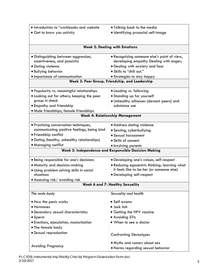| . Introduction to "workbooks and website    | • Talking back to the media                          |
|---------------------------------------------|------------------------------------------------------|
| • Get to know you activity                  | · Identifying prosocial self-image                   |
|                                             |                                                      |
|                                             |                                                      |
|                                             | <b>Week 2: Dealing with Emotions</b>                 |
| · Distinguishing between aggression,        | • Recognizing someone else's point of view,          |
| assertiveness, and passivity                | developing empathy Dealing with anger;               |
| • Dating violence                           | . Dealing with anxiety and fear                      |
| · Bullying behavior                         | . Skills to "chill out."                             |
| · Importance of communication               | • Strategies to stay happy                           |
|                                             | Week 3: Peer Group, Friendship, and Leadership       |
| · Popularity vs. meaningful relationships   | • Leading vs. following                              |
| • Looking out for others; keeping the peer  | · Standing up for yourself                           |
| group in check                              | . Unhealthy alliances (deviant peers) and            |
| • Empathy and friendship                    | substance use                                        |
| · Male friendships; female friendships      |                                                      |
|                                             | <b>Week 4: Relationship Management</b>               |
| · Practicing conversation techniques,       | • Address dating violence.                           |
| communicating positive feelings, being kind | · Sexting, cyberbullying.                            |
| • Friendship conflict                       | • Sexual harassment                                  |
| • Dating (healthy, unhealthy relationships) | • Skills of consent                                  |
| • Managing conflict                         | • Involving parents                                  |
|                                             | Week 5: Independence and Responsible Decision Making |
|                                             |                                                      |
| · Being responsible for one's decisions     | · Developing one's values, self-respect              |
| • Maturity and decision-making              | . Reducing egocentric thinking; learning what        |
| · Using problem solving skills in social    | it feels like to be her (or someone else)            |
| situations                                  | • Developing self-respect                            |
| $\bullet$ Assessing risk/ avoiding risk     |                                                      |
|                                             | <b>Week 6 and 7: Healthy Sexuality</b>               |
| The male body                               | Sexuality and health                                 |
| • How the penis works                       | • Self exams                                         |
| • Hormones                                  | · Jock itch                                          |
| • Secondary sexual characteristics          | • Getting the HPV vaccine                            |
| $\bullet$ Sperm                             | • Avoiding STIs                                      |
| • Erections, ejaculation, masturbation      | • When to see a doctor                               |
| • The female body                           |                                                      |
| • Sexual reproduction                       |                                                      |
|                                             | <b>Confronting Stereotypes</b>                       |
|                                             | • Myths and rumors about sex                         |
| <b>Avoiding Pregnancy</b>                   | . Norms regarding sexual behavior                    |
|                                             |                                                      |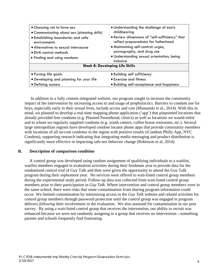| • Choosing not to have sex<br>• Communicating about sex (planning skills) | . Understanding the challenge of early<br>childbearing                                |
|---------------------------------------------------------------------------|---------------------------------------------------------------------------------------|
| • Establishing boundaries and safe<br>environments                        | . Review dimensions of "self-sufficiency" that<br>reflect preparedness for fatherhood |
| • Alternatives to sexual intercourse                                      | • Maintaining self-control: urges,                                                    |
| • Birth control methods                                                   | pornography, and drug use                                                             |
| • Finding and using condoms                                               | · Understanding sexual orientation; being<br>inclusive                                |
|                                                                           | <b>Week 8: Developing Life Skills</b>                                                 |
| • Pursing life goals                                                      | · Building self sufficiency                                                           |
| . Developing and planning for your life                                   | • Exercise and fitness                                                                |
| • Defining success                                                        | • Building self-acceptance and happiness                                              |

In addition to a fully content-integrated website, our program sought to increase the community impact of the intervention by increasing access to and usage of prophylactics. Barriers to condom use for boys, especially early in their sexual lives, include access and cost (Mustanski et al., 2014). With this in mind, we planned to develop a real-time mapping phone application ('app') that pinpointed locations that already provided free condoms (e.g. Planned Parenthood, clinics) as well as locations we would enlist and to whom we regularly supplied condoms (e.g. youth centers, coffee house restrooms, etc.). Several large metropolitan regions have developed condom locator phone apps that provide community members with locations of all no-cost condoms in the region with positive results (iCondom Philly App, NYC) Condom), supporting research indicating that integrating media messaging and product distribution is significantly more effective in impacting safe-sex behavior change (Robinson et al, 2014).

## **B. Description of comparison condition**

A control group was developed using random assignment of qualifying individuals to a waitlist; waitlist members engaged in evaluation activities during their freshman year to provide data for the randomized control trial of Guy Talk and then were given the opportunity to attend the Guy Talk program during their sophomore year. No services were offered to wait-listed control group members during the experimental study period. Follow-up data was collected from wait-listed control group members prior to their participation in *Guy Talk*. Where intervention and control group members were in the same school, there were risks that some contamination from sharing program information could occur. We limited contamination by minimizing access to the *Guy Talk* website and related activities for control group members through password protection until the control group was engaged in program delivery *following* their involvement in the evaluation. We also assessed for contamination in our post survey. By using a wait-listed control group that receives the intervention, our ability to recruit was enhanced because we were not randomly assigning to a group that receives no intervention—something parents and schools frequently find frustrating.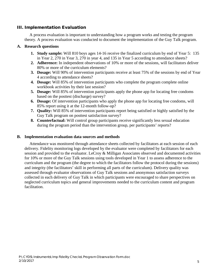## III. Implementation Evaluation

A process evaluation is important to understanding how a program works and testing the program theory. A process evaluation was conducted to document the implementation of the Guy Talk program.

## **A. Research questions**

- **1. Study sample:** Will 810 boys ages 14-16 receive the finalized curriculum by end of Year 5: 135 in Year 2, 270 in Year 3, 270 in year 4, and 135 in Year 5 according to attendance sheets?
- **2. Adherence:** In independent observations of 10% or more of the sessions, will facilitators deliver 80% or more of the curriculum elements?
- **3. Dosage:** Will 90% of intervention participants receive at least 75% of the sessions by end of Year 4 according to attendance sheets?
- **4. Dosage:** Will 85% of intervention participants who complete the program complete online workbook activities by their last session?
- **5. Dosage:** Will 85% of intervention participants apply the phone app for locating free condoms based on the posttest (discharge) survey?
- **6. Dosage:** Of intervention participants who apply the phone app for locating free condoms, will 85% report using it at the 12-month follow-up?
- **7. Quality:** Will 85% of intervention participants report being satisfied or highly satisfied by the Guy Talk program on posttest satisfaction survey?
- **8. Counterfactual:** Will control group participants receive significantly less sexual education during the program period than the intervention group, per participants' reports?

## **B. Implementation evaluation data sources and methods**

Attendance was monitored through attendance sheets collected by facilitators at each session of each delivery. Fidelity monitoring logs developed by the evaluator were completed by facilitators for each session and provided to the evaluator. LeCroy & Milligan Associates observed and documented activities for 10% or more of the Guy Talk sessions using tools developed in Year 1 to assess adherence to the curriculum and the program (the degree to which the facilitators follow the protocol during the sessions) and integrity (the facilitators' skill in performing all parts of the curriculum). Delivery quality was assessed through evaluator observations of Guy Talk sessions and anonymous satisfaction surveys collected in each delivery of Guy Talk in which participants were encouraged to share perspectives on neglected curriculum topics and general improvements needed to the curriculum content and program facilitation.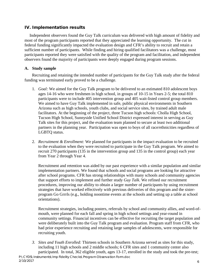# IV. Implementation results

Independent observers found the Guy Talk curriculum was delivered with high amount of fidelity and most of the program participants reported that they appreciated the learning opportunity. The cut in federal funding significantly impacted the evaluation design and CFR's ability to recruit and retain a sufficient number of participants. While finding and hiring qualified facilitators was a challenge, most participants reported they were satisfied with the quality of the program and facilitation, and independent observers found the majority of participants were deeply engaged during program sessions.

## **A. Study sample**

Recruiting and retaining the intended number of participants for the Guy Talk study after the federal funding was terminated early proved to be a challenge.

- 1. *Goal:* We aimed for the Guy Talk program to be delivered to an estimated 810 adolescent boys ages 14-16 who were freshmen in high school, in groups of 10-15 in Years 2-5; the total 810 participants were to include 405 intervention group and 405 wait-listed control group members. We aimed to have Guy Talk implemented in safe, public physical environments in Southern Arizona such as high schools, youth clubs, and social service sites, by trained adult male facilitators. At the beginning of the project, three Tucson high schools: Cholla High School, Tucson High School, Sunnyside Unified School District expressed interest in serving as Guy Talk sites for this project, and the evaluation team planned to secure at least two additional partners in the planning year. Participation was open to boys of all race/ethnicities regardless of LGBTQ status.
- 2. *Recruitment & Enrollment:* We planned for participants in the impact evaluation to be recruited to the evaluation when they were recruited to participate in the Guy Talk program. We aimed to recruit 270 participants (135 in the intervention group and 135 in the control group) each year from Year 2 through Year 4.

Recruitment and retention was aided by our past experience with a similar population and similar implementation partners. We found that schools and social programs are looking for attractive after school programs. CFR has strong relationships with many schools and community agencies that support efforts to implement and further study *Guy Talk*. We refined our recruitment procedures, improving our ability to obtain a larger number of participants by using recruitment strategies that have worked effectively with previous deliveries of this program and the sisterprogram Go Grrrls (e.g., holding noontime events at the schools and setting up a table at school orientations).

Recruitment strategies, including posters, referrals by school and community allies, and word-ofmouth, were planned for each fall and spring in high school settings and year-round in community settings. Financial incentives can be effective for recruiting the target population and were deliberately built into the Guy Talk program and evaluation. Program staff from CFR, who had prior experience recruiting and retaining large samples of adolescents, were responsible for recruiting youth.

*3. Sites and Youth Enrolled:* Thirteen schools in Southern Arizona served as sites for this study, including 11 high schools and 2 middle schools; 6 CFR sites and 1 community center also participated. In total, 362 eligible youth, ages 13-17, enrolled in the study and took the pre-test;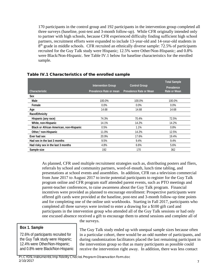170 participants in the control group and 192 participants in the intervention group completed all three surveys (baseline, post-test and 3-month follow-up). While CFR originally intended only to partner with high schools, because CFR experienced difficulty finding sufficient high school partners, recruitment efforts were expanded to include 13-year-old and 14-year-old students in  $8<sup>th</sup>$  grade in middle schools. CFR recruited an ethnically diverse sample: 72.5% of participants recruited for the Guy Talk study were Hispanic; 12.5% were Other/Non-Hispanic; and 0.8% were Black/Non-Hispanic. See Table IV.1 below for baseline characteristics for the enrolled sample.

|                                         | <b>Intervention Group</b> | <b>Control Group</b>    | <b>Total Sample</b>        |
|-----------------------------------------|---------------------------|-------------------------|----------------------------|
| Characteristic                          | Prevalence Rate or mean   | Prevalence Rate or Mean | Prevalence<br>Rate or Mean |
| <b>Sex</b>                              |                           |                         |                            |
| Male                                    | 100.0%                    | 100.0%                  | 100.0%                     |
| Female                                  | $0.0\%$                   | $0.0\%$                 | $0.0\%$                    |
| Age                                     | 14.68                     | 14.68                   | 14.68                      |
| Race/Ethnicity                          |                           |                         |                            |
| Hispanic (any race)                     | 74.3%                     | 70.4%                   | 72.5%                      |
| White, non-Hispanic                     | 14.1%                     | 14.2%                   | 14.2%                      |
| Black or African American, non-Hispanic | 0.5%                      | 1.1%                    | 0.8%                       |
| Other, <sup>1</sup> non-Hispanic        | 11.0%                     | 14.2%                   | 12.5%                      |
| Ever had sex                            | 20.9%                     | 17.6%                   | 19.4%                      |
| Had sex in the last 3 months            | 9.5%                      | 9.4%                    | 9.4%                       |
| Had risky sex in the last 3 months      | 4.8%                      | $6.6\%$                 | 5.6%                       |
| Sample size                             | 192                       | 170                     | 362                        |

## Table IV.1 Characteristics of the enrolled sample

As planned, CFR used multiple recruitment strategies such as, distributing posters and fliers, referrals by school and community partners, word-of-mouth, lunch time tabling, and presentations at school events and assemblies. In addition, CFR ran a television commercial from June 2017 to August 2017 to invite potential participants to register for the Guy Talk program online and CFR program staff attended parent events, such as PTO meetings and parent-teacher conferences, to raise awareness about the Guy Talk program. Financial incentives were provided as planned to encourage enrollment: Prospective participants were offered gift cards were provided at the baseline, post-test and 3-month follow-up time points and for completing one of the online unit workbooks. Starting in Fall 2017, participants who completed all three surveys were invited to enter a drawing for a \$100 gift card and participants in the intervention group who attended all of the Guy Talk sessions or had only one excused absence received a gift to encourage them to attend sessions and complete all of

# **Box 1. Sample**

72.6% of participants recruited for the Guy Talk study were Hispanic; 12.4% were Other/Non-Hispanic; and 0.8% were Black/Non-Hispanic the surveys.

The Guy Talk study ended up with unequal sample sizes because often in a particular cohort, there would be an odd number of participants, and during randomization facilitators placed the last remaining participant in the intervention group so that as many participants as possible could receive the intervention right away. In addition, there was less contact

P:\CYDS\Instruments\Imp Fidelity Checks\Program Observation Form.doc 2/10/2017 7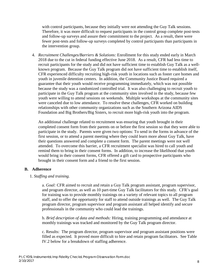with control participants, because they initially were not attending the Guy Talk sessions. Therefore, it was more difficult to request participants in the control group complete post-tests and follow-up surveys and assure their commitment to the project. As a result, there were fewer post-tests and follow-up surveys completed by control participants than participants in the intervention group.

4. *Recruitment Challenges/Barriers & Solutions:* Enrollment for this study ended early in March 2018 due to the cut in federal funding effective June 2018. As a result, CFR had less time to recruit participants for the study and did not have sufficient time to establish Guy Talk as a wellknown program. Because the Guy Talk program did not have sufficient time to establish itself, CFR experienced difficulty recruiting high-risk youth in locations such as foster care homes and youth in juvenile detention centers. In addition, the Community Justice Board required a guarantee that their youth would receive programming immediately, which was not possible because the study was a randomized controlled trial. It was also challenging to recruit youth to participate in the Guy Talk program at the community sites involved in the study, because few youth were willing to attend sessions on weekends. Multiple workshops at the community sites were canceled due to low attendance. To resolve these challenges, CFR worked on building relationships with other community organizations such as the Southern Arizona AIDS Foundation and Big Brothers/Big Sisters, to recruit more high-risk youth into the program.

An additional challenge related to recruitment was ensuring that youth brought in their completed consent form from their parents on or before the first session so that they were able to participate in the study. Parents were given two options: To send in the forms in advance of the first session, or to attend a parent meeting where they could learn more about Guy Talk, have their questions answered and complete a consent form. The parent meetings were not well attended. To overcome this barrier, a CFR recruitment specialist was hired to call youth and remind them to bring in their consent forms. In addition, to increase the likelihood that youth would bring in their consent forms, CFR offered a gift card to prospective participants who brought in their consent form and a friend to the first session.

## **B. Adherence**

## 1. *Staffing and training.*

a. *Goal:* CFR aimed to recruit and retain a Guy Talk program assistant, program supervisor, and program director, as well as 10 part-time Guy Talk facilitators for this study. CFR's goal for training was to provide monthly trainings on a variety of relevant topics to all program staff, and to offer the opportunity for staff to attend outside trainings as well. The Guy Talk program director, program supervisor and program assistant all helped identify and secure professionals in the community who could lead the trainings.

b. *Brief description of data and methods:* Hiring, training programming and attendance at monthly trainings was tracked and monitored by the Guy Talk program director.

c. Results: The program director, program supervisor and program assistant positions were filled as expected. It proved more difficult to hire and retain program facilitators. See Table IV.2 below for a breakdown of staffing adherence.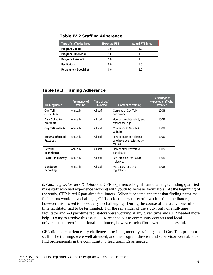| <b>Table IV.2 Staffing Adherence</b> |  |
|--------------------------------------|--|
|--------------------------------------|--|

| Type of staff to be hired     | <b>Expected FTE</b> | <b>Actual FTE hired</b> |
|-------------------------------|---------------------|-------------------------|
| <b>Program Director</b>       | 1.0                 | 1.0                     |
| <b>Program Supervisor</b>     | 1.0                 | 1.0                     |
| Program Assistant             | 1.0                 | 1.0                     |
| <b>Facilitators</b>           | 5.0                 | 2.0                     |
| <b>Recruitment Specialist</b> |                     |                         |

| Training name                       | Frequency of<br>training | Type of staff<br>involved | Content of training                                              | Percentage of<br>expected staff who<br>attended |
|-------------------------------------|--------------------------|---------------------------|------------------------------------------------------------------|-------------------------------------------------|
| <b>Guy Talk</b><br>curriculum       | Annually                 | All staff                 | Contents of Guy Talk<br>curriculum                               | 100%                                            |
| Data Collection<br>protocols        | Annually                 | All staff                 | How to complete fidelity and<br>attendance logs                  | 100%                                            |
| Guy Talk website                    | Annually                 | All staff                 | Orientation to Guy Talk<br>website                               | 100%                                            |
| Trauma-Informed<br><b>Practices</b> | Annually                 | All staff                 | How to teach participants<br>who have been affected by<br>trauma | 100%                                            |
| Referral<br><b>Techniques</b>       | Annually                 | All staff                 | How to offer referrals to<br>participants                        | 100%                                            |
| <b>LGBTQ Inclusivity</b>            | Annually                 | All staff                 | Best practices for LGBTQ<br>inclusivity                          | 100%                                            |
| Mandatory<br>Reporting              | Annually                 | All staff                 | Mandatory reporting<br>regulations                               | 100%                                            |

## Table IV.3 Training Adherence

d. *Challenges/Barriers & Solutions:* CFR experienced significant challenges finding qualified male staff who had experience working with youth to serve as facilitators. At the beginning of the study, CFR hired 6 part-time facilitators. When it became apparent that finding part-time facilitators would be a challenge, CFR decided to try to recruit two full-time facilitators, however this proved to be equally as challenging. During the course of the study, one fulltime facilitator had to be terminated. For the remainder of the study, only one full-time facilitator and 2-3 part-time facilitators were working at any given time and CFR needed more help. To try to resolve this issue, CFR reached out to community contacts and local universities to recruit additional facilitators, however their efforts were not successful.

CFR did not experience any challenges providing monthly trainings to all Guy Talk program staff. The trainings were well attended, and the program director and supervisor were able to find professionals in the community to lead trainings as needed.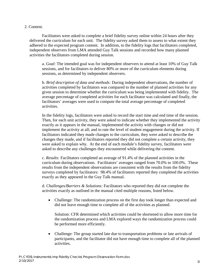## 2. Content.

Facilitators were asked to complete a brief fidelity survey online within 24 hours after they delivered the curriculum for each unit. The fidelity survey asked them to assess to what extent they adhered to the expected program content. In addition, to the fidelity logs that facilitators completed, independent observers from LMA attended Guy Talk sessions and recorded how many planned activities the facilitators completed during session.

a. *Goal:* The intended goal was for independent observers to attend at least 10% of Guy Talk sessions, and for facilitators to deliver 80% or more of the curriculum elements during sessions, as determined by independent observers.

b. *Brief description of data and methods:* During independent observations, the number of activities completed by facilitators was compared to the number of planned activities for any given session to determine whether the curriculum was being implemented with fidelity. The average percentage of completed activities for each facilitator was calculated and finally, the facilitators' averages were used to compute the total average percentage of completed activities.

In the fidelity logs, facilitators were asked to record the start time and end time of the session. Then, for each unit activity, they were asked to indicate whether they implemented the activity exactly as it appears in the manual, implemented the activity with changes or did not implement the activity at all; and to rate the level of student engagement during the activity. If facilitators indicated they made changes to the curriculum, they were asked to describe the changes they made, and if facilitators reported they did not complete a certain activity, they were asked to explain why. At the end of each module's fidelity survey, facilitators were asked to describe any challenges they encountered while delivering the content.

c. *Results:* Facilitators completed an average of 91.4% of the planned activities in the curriculum during observations. Facilitators' averages ranged from 70.0% to 100.0%. These results from the independent observations are consistent with the results from the fidelity surveys completed by facilitators: 98.4% of facilitators reported they completed the activities exactly as they appeared in the Guy Talk manual.

d. *Challenges/Barriers & Solutions:* Facilitators who reported they did not complete the activities exactly as outlined in the manual cited multiple reasons, listed below.

• Challenge: The randomization process on the first day took longer than expected and did not leave enough time to complete all of the activities as planned.

Solution: CFR determined which activities could be shortened to allow more time for the randomization process and LMA explored ways the randomization process could be performed more efficiently.

• Challenge: The group started late due to transportation problems or late arrivals of participants, and the facilitator did not have enough time to complete all of the planned activities.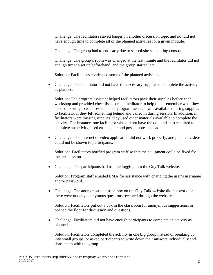Challenge: The facilitators stayed longer on another discussion topic and not did not have enough time to complete all of the planned activities for a given module.

Challenge: The group had to end early due to school/site scheduling constraints.

Challenge: The group's room was changed at the last minute and the facilitator did not enough time to set up beforehand, and the group started late.

Solution: Facilitators condensed some of the planned activities.

• Challenge: The facilitator did not have the necessary supplies to complete the activity as planned.

Solution: The program assistant helped facilitators pack their supplies before each workshop and provided checklists to each facilitator to help them remember what they needed to bring to each session. The program assistant was available to bring supplies to facilitator if they left something behind and called in during session. In addition, if facilitators were missing supplies, they used other materials available to complete the activity. For instance, one facilitator who did not have the doll and shirt required to complete an activity, used easel paper and post-it notes instead.

• Challenge: The Internet or video application did not work properly, and planned videos could not be shown to participants.

Solution: Facilitators notified program staff so that the equipment could be fixed for the next session.

• Challenge: The participants had trouble logging into the Guy Talk website.

Solution: Program staff emailed LMA for assistance with changing the user's username and/or password.

• Challenge: The anonymous question box on the Guy Talk website did not work, or there were not any anonymous questions received through the website.

Solution: Facilitators put out a box in the classroom for anonymous suggestions, or opened the floor for discussion and questions.

• Challenge: Facilitators did not have enough participants to complete an activity as planned.

Solution: Facilitators completed the activity in one big group instead of breaking up into small groups, or asked participants to write down their answers individually and share them with the group.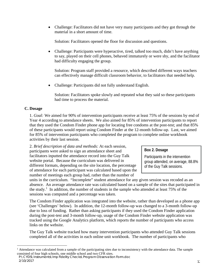• Challenge: Facilitators did not have very many participants and they got through the material in a short amount of time.

Solution: Facilitators opened the floor for discussion and questions.

• Challenge: Participants were hyperactive, tired, talked too much, didn't have anything to say, played on their cell phones, behaved immaturely or were shy, and the facilitator had difficulty engaging the group.

Solution: Program staff provided a resource, which described different ways teachers can effectively manage difficult classroom behavior, to facilitators that needed help.

• Challenge: Participants did not fully understand English.

Solution: Facilitators spoke slowly and repeated what they said so these participants had time to process the material.

# **C. Dosage**

1. *Goal:* We aimed for 90% of intervention participants receive at least 75% of the sessions by end of Year 4 according to attendance sheets. We also aimed for 85% of intervention participants to report that they used the Condom Finder phone app for locating free condoms at the post-test; and that 85% of these participants would report using Condom Finder at the 12-month follow-up. Last, we aimed for 85% of intervention participants who completed the program to complete online workbook activities by their last session.

2. *Brief description of data and methods:* At each session, participants were asked to sign an attendance sheet and facilitators inputted the attendance record into the Guy Talk website portal. Because the curriculum was delivered in different formats, depending on the site location, the percentage of attendance for each participant was calculated based upon the number of meetings each group had, rather than the number of

# **Box 2. Dosage**

Participants in the intervention group attended, on average, 88.8% of the Guy Talk sessions.

units in the curriculum. "Incomplete" student attendance for any given session was recoded as an absence. An average attendance rate was calculated based on a sample of the sites that participated in the study.<sup>[1](#page-16-0)</sup> In addition, the number of students in the sample who attended at least  $75\%$  of the sessions was computed and a percentage was taken.

The Condom Finder application was integrated into the website, rather than developed as a phone app (see 'Challenges' below). In addition, the 12-month follow-up was changed to a 3-month follow-up due to loss of funding. Rather than asking participants if they used the Condom Finder application during the post-test and 3-month follow-up, usage of the Condom Finder website application was tracked using the Google Analytics platform, which reports the number of participants who access links on the website.

The Guy Talk website tracked how many intervention participants who attended Guy Talk sessions completed all of the activities in each online unit workbook. The number of participants who

<span id="page-16-0"></span><sup>&</sup>lt;sup>1</sup> Attendance was calculated from a sample of the participating sites due to inconsistency with the attendance data. The sample consisted of four high schools, one middle school and two CFR sites.

P:\CYDS\Instruments\Imp Fidelity Checks\Program Observation Form.doc  $2/10/2017$  and  $1/2$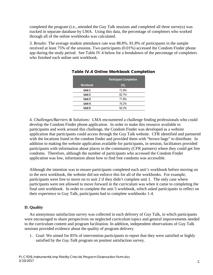completed the program (i.e., attended the Guy Talk sessions and completed all three surveys) was tracked in separate database by LMA. Using this data, the percentage of completers who worked through all of the online workbooks was calculated.

3. *Results:* The average student attendance rate was 88.8%. 81.8% of participants in the sample received at least 75% of the sessions. Two participants (0.01%) accessed the Condom Finder phone app during the study period. See Table IV.4 below for a breakdown of the percentage of completers who finished each online unit workbook.

|                 | <b>Participant Completion</b> |
|-----------------|-------------------------------|
| <b>Workbook</b> | $(\%)$                        |
| Unit 1          | 71.9%                         |
| Unit 2          | 82.7%                         |
| Unit 3          | 77.8%                         |
| Unit 4          | 76.2%                         |
| Unit 5          | 50.2%                         |

## Table IV.4 Online Workbook Completion

4. *Challenges/Barriers & Solutions:* LMA encountered a challenge finding professionals who could develop the Condom Finder phone application. In order to make this resource available to participants and work around this challenge, the Condom Finder was developed as a website application that participants could access through the Guy Talk website. CFR identified and partnered with the locations listed in the condom finder and provided them with "brown bags" to distribute. In addition to making the website application available for participants, in session, facilitators provided participants with information about places in the community (CFR partners) where they could get free condoms. Therefore, although the number of participants who accessed the Condom Finder application was low, information about how to find free condoms was accessible.

Although the intention was to ensure participants completed each unit's workbook before moving on to the next workbook, the website did not enforce this for all of the workbooks. For example, participants were free to move on to unit 2 if they didn't complete unit 1. The only case where participants were not allowed to move forward in the curriculum was when it came to completing the final unit workbook. In order to complete the unit 5 workbook, which asked participants to reflect on their experience in Guy Talk, participants had to complete workbooks 1-4.

# **D. Quality**

An anonymous satisfaction survey was collected in each delivery of Guy Talk, in which participants were encouraged to share perspectives on neglected curriculum topics and general improvements needed to the curriculum content and program facilitation. In addition, independent observations of Guy Talk sessions provided evidence about the quality of program delivery.

1. Goal: We aimed for 85% of intervention participants to report that they were satisfied or highly satisfied by the *Guy Talk* program on posttest satisfaction survey.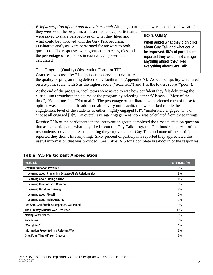2. *Brief description of data and analytic method*: Although participants were not asked how satisfied

they were with the program, as described above, participants were asked to share perspectives on what they liked and what could be improved with the Guy Talk program. Qualitative analyses were performed for answers to both questions. The responses were grouped into categories and the percentage of responses in each category were then calculated.

**Box 3. Quality**

**When asked what they didn't like about Guy Talk and what could be improved, 56% of participants reported they would not change anything and/or they liked everything about Guy Talk.**

The "Program (Quality) Observation Form for TPP Grantees" was used by 7 independent observers to evaluate

the quality of programming delivered by facilitators [Appendix A]. Aspects of quality were rated on a 5-point scale, with 5 as the highest score ("excellent") and 1 as the lowest score ("poor").

At the end of the program, facilitators were asked to rate how confident they felt delivering the curriculum throughout the course of the program by selecting either "Always", "Most of the time", "Sometimes" or "Not at all". The percentage of facilitators who selected each of these four options was calculated. In addition, after every unit, facilitators were asked to rate the engagement level of the students as either "highly engaged [2]", "moderately engaged [1]", or "not at all engaged [0]". An overall average engagement score was calculated from these ratings.

*Results:* 73% of the participants in the intervention group completed the first satisfaction question that asked participants what they liked about the Guy Talk program. One-hundred percent of the respondents provided at least one thing they enjoyed about Guy Talk and none of the participants reported they didn't like anything. Sixty percent of participants reported they appreciated the useful information that was provided. See Table IV.5 for a complete breakdown of the responses.

| Feedback                                              | Participants (%) |
|-------------------------------------------------------|------------------|
| <b>Useful Information Provided</b>                    | 60%              |
| Learning about Preventing Diseases/Safe Relationships | 9%               |
| Learning about "Being a Guy"                          | 4%               |
| Learning How to Use a Condom                          | 3%               |
| Learning Right from Wrong                             | 2%               |
| Learning about Myself                                 | 2%               |
| Learning about Male Anatomy                           | 2%               |
| Felt Safe, Comfortable, Respected, Welcomed           | 20%              |
| The Fun Way Material Was Presented                    | 15%              |
| <b>Making New Friends</b>                             | 8%               |
| <b>Facilitators</b>                                   | 7%               |
| "Everything"                                          | 6%               |
| Information Presented in a Relevant Way               | 3%               |
| Gifts/Food/Time Off from Classes                      | 3%               |

# Table IV.5 Participant Appreciation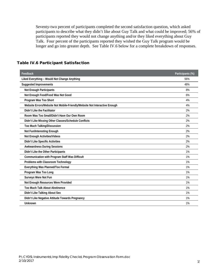Seventy-two percent of participants completed the second satisfaction question, which asked participants to describe what they didn't like about Guy Talk and what could be improved; 56% of participants reported they would not change anything and/or they liked everything about Guy Talk. Four percent of the participants reported they wished the Guy Talk program would be longer and go into greater depth. See Table IV.6 below for a complete breakdown of responses.

| Feedback                                                                  | Participants (%) |
|---------------------------------------------------------------------------|------------------|
| Liked Everything - Would Not Change Anything                              | 56%              |
| <b>Suggested Improvements</b>                                             | 48%              |
| <b>Not Enough Participants</b>                                            | 8%               |
| Not Enough Food/Food Was Not Good                                         | 6%               |
| Program Was Too Short                                                     | 4%               |
| Website Errors/Website Not Mobile-Friendly/Website Not Interactive Enough | 4%               |
| Didn't Like the Facilitator                                               | 2%               |
| Room Was Too Small/Didn't Have Our Own Room                               | 2%               |
| Didn't Like Missing Other Classes/Schedule Conflicts                      | 2%               |
| Too Much Talking/Discussion                                               | 2%               |
| Not Fun/Interesting Enough                                                | 2%               |
| Not Enough Activities/Videos                                              | 2%               |
| Didn't Like Specific Activities                                           | 2%               |
| <b>Awkwardness During Sessions</b>                                        | 2%               |
| Didn't Like the Other Participants                                        | 1%               |
| Communication with Program Staff Was Difficult                            | 1%               |
| Problems with Classroom Technology                                        | 1%               |
| Everything Was Planned/Too Formal                                         | 1%               |
| Program Was Too Long                                                      | 1%               |
| Surveys Were Not Fun                                                      | 1%               |
| Not Enough Resources Were Provided                                        | 1%               |
| <b>Too Much Talk About Abstinence</b>                                     | 1%               |
| Didn't Like Talking About Sex                                             | 1%               |
| Didn't Like Negative Attitude Towards Pregnancy                           | 1%               |
| Unknown                                                                   | 1%               |

## Table IV.6 Participant Satisfaction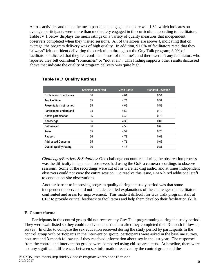Across activities and units, the mean participant engagement score was 1.62, which indicates on average, participants were more than moderately engaged in the curriculum according to facilitators. Table IV.1 below displays the mean ratings on a variety of quality measures that independent observers completed when they visited sessions. All of the scores are above 4, indicating that on average, the program delivery was of high quality. In addition, 91.0% of facilitators rated that they "always" felt confident delivering the curriculum throughout the Guy Talk program; 8.9% of facilitators indicated that they felt confident "most of the time"; and there weren't any facilitators who reported they felt confident "sometimes" or "not at all". This finding supports other results discussed above that indicate the quality of program delivery was quite high.

|                                  | <b>Sessions Observed</b> | <b>Mean Score</b> | <b>Standard Deviation</b> |
|----------------------------------|--------------------------|-------------------|---------------------------|
| <b>Explanation of activities</b> | 36                       | 4.64              | 0.54                      |
| Track of time                    | 35                       | 4.74              | 0.51                      |
| Presentation not rushed          | 35                       | 4.69              | 0.58                      |
| Participants understand          | 34                       | 4.59              | 0.70                      |
| Active participation             | 35                       | 4.43              | 0.78                      |
| Knowledge                        | 36                       | 4.39              | 0.87                      |
| Enthusiasm                       | 36                       | 4.56              | 0.65                      |
| Poise                            | 35                       | 4.57              | 0.70                      |
| Rapport                          | 36                       | 4.72              | 0.61                      |
| <b>Addressed Concerns</b>        | 35                       | 4.71              | 0.62                      |
| <b>Overall Quality Rating</b>    | 36                       | 4.47              | 0.81                      |

## Table IV.7 Quality Ratings

*Challenges/Barriers & Solutions*: One challenge encountered during the observation process was the difficulty independent observers had using the GoPro camera recordings to observe sessions. Some of the recordings were cut off or were lacking audio, and at times independent observers could not view the entire session. To resolve this issue, LMA hired additional staff to conduct on-site observations.

Another barrier to improving program quality during the study period was that some independent observers did not include detailed explanations of the challenges the facilitators confronted and areas for improvement. This made it difficult for Guy Talk program staff at CFR to provide critical feedback to facilitators and help them develop their facilitation skills.

## **E. Counterfactual**

Participants in the control group did not receive any Guy Talk programming during the study period. They were wait-listed so they could receive the curriculum after they completed their 3-month follow-up survey. In order to compare the sex education received during the study period by participants in the control group with participants in the intervention group, participants were asked in the baseline survey, post-test and 3-month follow-up if they received information about sex in the last year. The responses from the control and intervention groups were compared using chi-squared tests. At baseline, there were not any significant differences between sex information received by the control group and the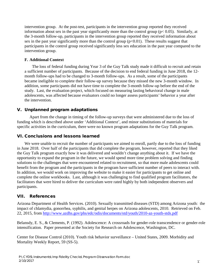intervention group. At the post-test, participants in the intervention group reported they received information about sex in the past year significantly more than the control group ( $p < 0.05$ ). Similarly, at the 3-month follow-up, participants in the intervention group reported they received information about sex in the past year significantly more than the control group  $(p<0.01)$ . These results suggest that participants in the control group received significantly less sex education in the past year compared to the intervention group.

## **F. Additional Context**

The loss of federal funding during Year 3 of the Guy Talk study made it difficult to recruit and retain a sufficient number of participants. Because of the decision to end federal funding in June 2018, the 12 month follow-ups had to be changed to 3-month follow-ups. As a result, some of the participants became ineligible to complete their follow-up survey because they missed the new 3-month window. In addition, some participants did not have time to complete the 3-month follow-up before the end of the study. Last, the evaluation project, which focused on measuring lasting behavioral change in male adolescents, was affected because evaluators could no longer assess participants' behavior a year after the intervention.

# V. Unplanned program adaptations

Apart from the change in timing of the follow-up surveys that were administered due to the loss of funding which is described above under 'Additional Context', and minor substitutions of materials for specific activities in the curriculum, there were no known program adaptations for the Guy Talk program.

# VI. Conclusions and lessons learned

We were unable to recruit the number of participants we aimed to enroll, partly due to the loss of funding in June 2018. Over half of the participants that did complete the program, however, reported that they liked the Guy Talk program exactly how it was delivered and wouldn't change anything about it. If we have the opportunity to expand the program in the future, we would spend more time problem solving and finding solutions to the challenges that were encountered related to recruitment, so that more male adolescents could benefit from the program and the participants in the program have sufficient number of peers to interact with. In addition, we would work on improving the website to make it easier for participants to get online and complete the online workbooks. Last, although it was challenging to find qualified program facilitators, the facilitators that were hired to deliver the curriculum were rated highly by both independent observers and participants.

# VII. References

Arizona Department of Health Services. (2010). Sexually transmitted diseases (STD) among Arizona youth: the impact of chlamydia, gonorrhea, syphilis, and genital herpes on Arizona adolescents, 2010. Retrieved on Feb. 22, 2015, from<http://www.azdhs.gov/phs/edc/odis/documents/std/youth/2010-az-youth-stds.pdf>

Belansdy, E. S., & Clements, P. (1992). Adolescence: A crossroads for gender-role transcendence or gender-role intensification. Paper presented at the Society for Research on Adolescence, Washington, DC.

Center for Disease Control (2010). Youth risk behavior surveillance – United States, 2009. Morbidity and Mortality Weekly Report, 59 (SS-5).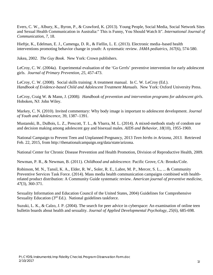Evers, C. W., Albury, K., Byron, P., & Crawford, K. (2013). Young People, Social Media, Social Network Sites and Sexual Health Communication in Australia:" This is Funny, You Should Watch It". *International Journal of Communication*, *7*, 18.

Hieftje, K., Edelman, E. J., Camenga, D. R., & Fiellin, L. E. (2013). Electronic media–based health interventions promoting behavior change in youth: A systematic review. *JAMA pediatrics*, *167*(6), 574-580.

Jukea, 2002. *The Guy Book.* New York: Crown publishers.

LeCroy, C. W. (2004a). Experimental evaluation of the 'Go Grrrls' preventive intervention for early adolescent girls. *Journal of Primary Prevention, 25*, 457-473.

LeCroy, C. W. (2008). Social skills training: A treatment manual. In C. W. LeCroy (Ed.). *Handbook of Evidence-based Child and Adolescent Treatment Manuals*. New York: Oxford University Press.

LeCroy, Craig W. & Mann, J. (2008*). Handbook of prevention and intervention programs for adolescent girls*. Hoboken, NJ: John Wiley.

Markey, C. N. (2010). Invited commentary: Why body image is important to adolescent development. *Journal of Youth and Adolescence*, 39, 1387–1391.

Mustanski, B., DuBois, L. Z., Prescott, T. L., & Ybarra, M. L. (2014). A mixed-methods study of condom use and decision making among adolescent gay and bisexual males. *AIDS and Behavior*, *18*(10), 1955-1969.

National Campaign to Prevent Teen and Unplanned Pregnancy, 2013 *Teen births in Arizona, 2013.* Retrieved Feb. 22, 2015, from http://thenationalcampaign.org/data/state/arizona.

National Center for Chronic Disease Prevention and Health Promotion, Division of Reproductive Health, 2009.

Newman, P. R., & Newman, B. (2011). *Childhood and adolescence.* Pacific Grove, CA: Brooks/Cole.

Robinson, M. N., Tansil, K. A., Elder, R. W., Soler, R. E., Labre, M. P., Mercer, S. L., ... & Community Preventive Services Task Force. (2014). Mass media health communication campaigns combined with healthrelated product distribution: A Community Guide systematic review. *American journal of preventive medicine*, *47*(3), 360-371.

Sexuality Information and Education Council of the United States, 2004) Guidelines for Comprehensive Sexuality Education  $(3<sup>rd</sup> Ed.)$ . National guidelines taskforce.

Suzuki, L. K., & Calzo, J. P. (2004). The search for peer advice in cyberspace: An examination of online teen bulletin boards about health and sexuality. *Journal of Applied Developmental Psychology*, *25*(6), 685-698.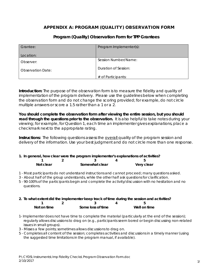# APPENDIX A: PROGRAM (QUALITY) OBSERVATION FORM

| Grantee:                 | Program Implementer(s): |
|--------------------------|-------------------------|
| Location:                |                         |
| Observer:                | Session Number/Name:    |
| <b>Observation Date:</b> | Duration of Session:    |
|                          | $#$ of Participants:    |

## **Program (Quality) Observation Form for TPP Grantees**

**Introduction:** The purpose of the observation form is to measure the fidelity and quality of implementation of the program delivery. Please use the guidelines below when completing the observation form and *do not* change the scoring provided; for example, do not circle multiple answers or score a 1.5 rather than a 1 or a 2.

**You should complete the observation form** *after viewing the entire session***, but you should read through the questions prior to the observation.** It is also helpful to take notes during your viewing; for example, for Question 1, each time an implementer gives explanations, place a checkmark next to the appropriate rating.

**Instructions:** The following questions assess the overall quality of the program session and delivery of the information. Use your best judgment and do not circle more than one response.

#### **1. In general, how clear were the program implementer's explanations of activities? 1 2 3 4 5**

| Not clear | Somewhat clear | Very clear |
|-----------|----------------|------------|

1 - Most participants do not understand instructions and cannot proceed; many questions asked.

3 - About half of the group understands, while the other half ask questions for clarification.

5 - 90-100% of the participants begin and complete the activity/discussion with no hesitation and no questions.

## **2. To what extent did the implementer keep track of time during the session and activities?**

| Not on time | Some loss of time | Well on time |
|-------------|-------------------|--------------|

- 1- Implementer does not have time to complete the material (particularly at the end of the session); regularly allows discussions to drag on (e.g., participants seem bored or begin discussing non-related issues in small groups).
- 3 Misses a few points; sometimes allows discussions to drag on.
- 5 Completes all content of the session; completes activities and discussions in a timely manner (using the suggested time limitations in the program manual, if available).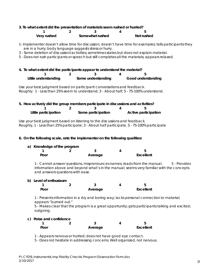#### **3. To what extent did the presentation of materials seem rushed or hurried?**

| Very rushed | Somewhat rushed | Not rushed |
|-------------|-----------------|------------|

1- Implementer doesn't allow time for discussion; doesn't have time for examples; tells participants they are in a hurry; body language suggests stress or hurry.

- 3 Some deletion of discussion/activities; sometimes states but does not explain material.
- 5 Does not rush participants or speech but still completes all the materials; appears relaxed.
- **4. To what extent did the participants appear to understand the material?**

| Little understanding | Some understanding | Good understanding |
|----------------------|--------------------|--------------------|

Use your best judgment based on participant conversations and feedback. Roughly: 1 - Less than 25% seem to understand; 3 - About half; 5 - 75-100% understand.

| 5. How actively did the group members participate in discussions and activities? |                    |   |                             |
|----------------------------------------------------------------------------------|--------------------|---|-----------------------------|
|                                                                                  |                    | 4 |                             |
| Little participation                                                             | Some participation |   | <b>Active participation</b> |

Use your best judgment based on listening to the discussions and feedback. Roughly, 1 - Less than 25% participate; 3 - About half participate. 5 - 75-100% participate

#### **6. On the following scale, rate the implementer on the following qualities:**

#### **a) Knowledge of the program**

| . .  | $\overline{\phantom{a}}$ |         |                  |
|------|--------------------------|---------|------------------|
| Poor |                          | Average | <b>Excellent</b> |

1 - Cannot answer questions, mispronounces names; reads from the manual. 5 - Provides information above and beyond what's in the manual; seems very familiar with the concepts and answers questions with ease.

#### **b) Level of enthusiasm**

| Poor | Average | Excellent |
|------|---------|-----------|

1 - Presents information in a dry and boring way; lacks personal connection to material; appears "burned out."

5 - Makes clear that the program is a great opportunity; gets participants talking and excited; outgoing.

#### **c) Poise and confidence**

| Poor | Average | Excellent |
|------|---------|-----------|

1 - Appears nervous or hurried; does not have good eye contact.

5 - Does not hesitate in addressing concerns. Well organized, not nervous.